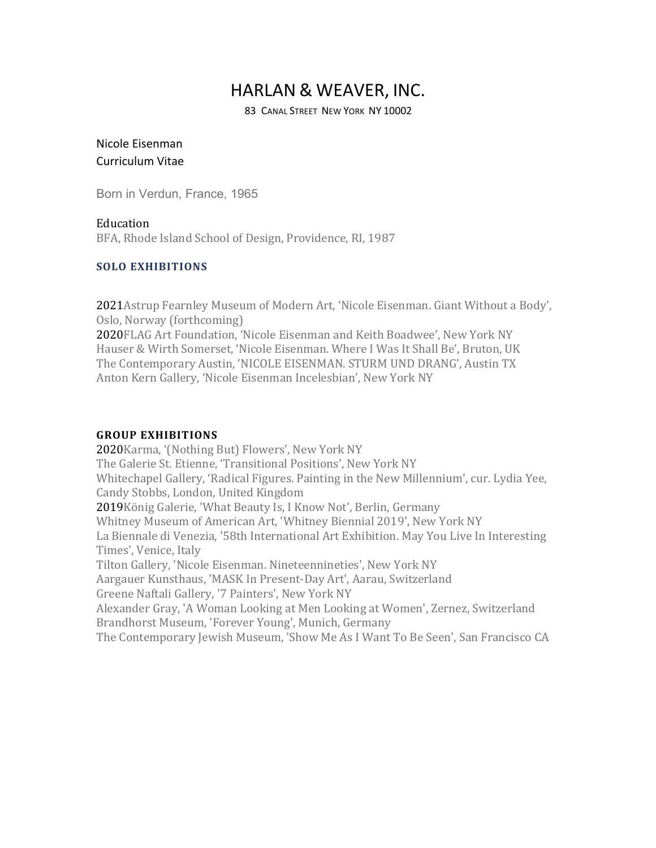# HARLAN & WEAVER, INC.

83 CANAL STREET NEW YORK NY 10002

# Nicole Eisenman Curriculum Vitae

Born in Verdun, France, 1965

# Education

BFA, Rhode Island School of Design, Providence, RI, 1987

#### **SOLO EXHIBITIONS**

2021Astrup Fearnley Museum of Modern Art, 'Nicole Eisenman. Giant Without a Body', Oslo, Norway (forthcoming)

2020FLAG Art Foundation, 'Nicole Eisenman and Keith Boadwee', New York NY Hauser & Wirth Somerset, 'Nicole Eisenman. Where I Was It Shall Be', Bruton, UK The Contemporary Austin, 'NICOLE EISENMAN. STURM UND DRANG', Austin TX Anton Kern Gallery, 'Nicole Eisenman Incelesbian', New York NY

# **GROUP EXHIBITIONS**

2020Karma, '(Nothing But) Flowers', New York NY The Galerie St. Etienne, 'Transitional Positions', New York NY Whitechapel Gallery, 'Radical Figures. Painting in the New Millennium', cur. Lydia Yee, Candy Stobbs, London, United Kingdom 2019König Galerie, 'What Beauty Is, I Know Not', Berlin, Germany Whitney Museum of American Art, 'Whitney Biennial 2019', New York NY La Biennale di Venezia, '58th International Art Exhibition. May You Live In Interesting Times', Venice, Italy Tilton Gallery, 'Nicole Eisenman. Nineteennineties', New York NY Aargauer Kunsthaus, 'MASK In Present-Day Art', Aarau, Switzerland Greene Naftali Gallery, '7 Painters', New York NY Alexander Gray, 'A Woman Looking at Men Looking at Women', Zernez, Switzerland Brandhorst Museum, 'Forever Young', Munich, Germany The Contemporary Jewish Museum, 'Show Me As I Want To Be Seen', San Francisco CA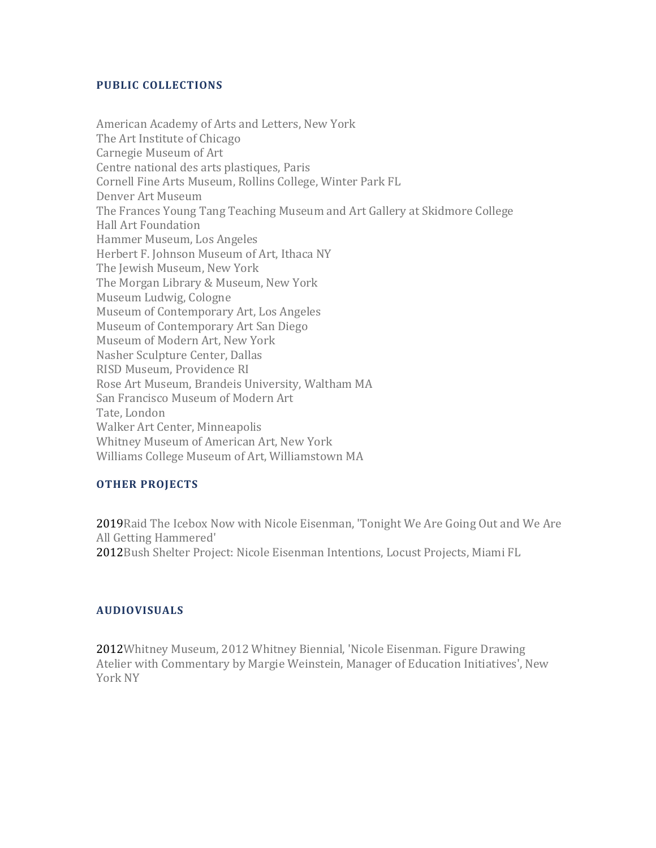#### **PUBLIC COLLECTIONS**

American Academy of Arts and Letters, New York The Art Institute of Chicago Carnegie Museum of Art Centre national des arts plastiques, Paris Cornell Fine Arts Museum, Rollins College, Winter Park FL Denver Art Museum The Frances Young Tang Teaching Museum and Art Gallery at Skidmore College Hall Art Foundation Hammer Museum, Los Angeles Herbert F. Johnson Museum of Art, Ithaca NY The Jewish Museum, New York The Morgan Library & Museum, New York Museum Ludwig, Cologne Museum of Contemporary Art, Los Angeles Museum of Contemporary Art San Diego Museum of Modern Art, New York Nasher Sculpture Center, Dallas RISD Museum, Providence RI Rose Art Museum, Brandeis University, Waltham MA San Francisco Museum of Modern Art Tate, London Walker Art Center, Minneapolis Whitney Museum of American Art, New York Williams College Museum of Art, Williamstown MA

# **OTHER PROJECTS**

2019Raid The Icebox Now with Nicole Eisenman, 'Tonight We Are Going Out and We Are All Getting Hammered' 2012Bush Shelter Project: Nicole Eisenman Intentions, Locust Projects, Miami FL

#### **AUDIOVISUALS**

2012Whitney Museum, 2012 Whitney Biennial, 'Nicole Eisenman. Figure Drawing Atelier with Commentary by Margie Weinstein, Manager of Education Initiatives', New York NY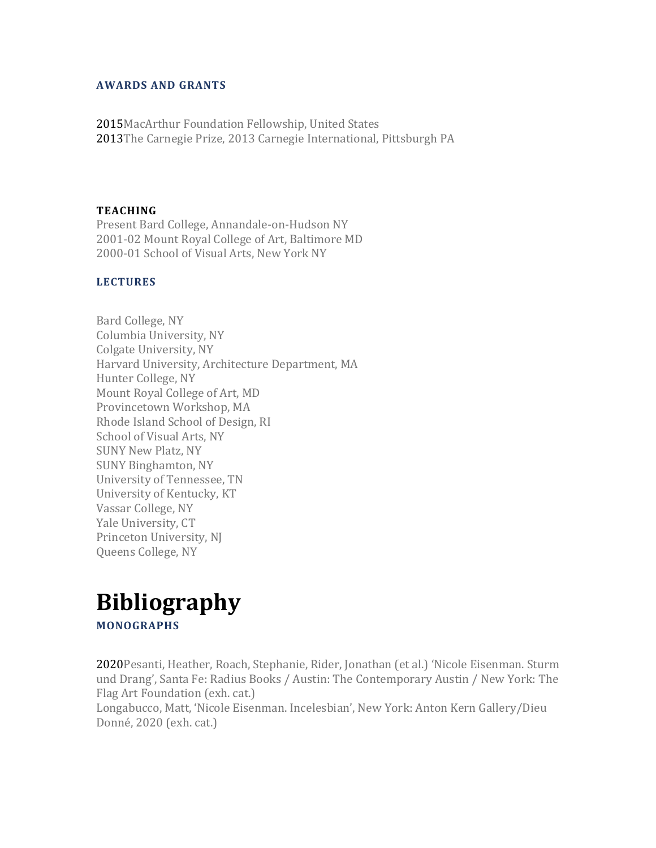#### **AWARDS AND GRANTS**

2015MacArthur Foundation Fellowship, United States 2013The Carnegie Prize, 2013 Carnegie International, Pittsburgh PA

#### **TEACHING**

Present Bard College, Annandale-on-Hudson NY 2001-02 Mount Royal College of Art, Baltimore MD 2000-01 School of Visual Arts, New York NY

# **LECTURES**

Bard College, NY Columbia University, NY Colgate University, NY Harvard University, Architecture Department, MA Hunter College, NY Mount Royal College of Art, MD Provincetown Workshop, MA Rhode Island School of Design, RI School of Visual Arts, NY SUNY New Platz, NY SUNY Binghamton, NY University of Tennessee, TN University of Kentucky, KT Vassar College, NY Yale University, CT Princeton University, NJ Queens College, NY

# **Bibliography**

**MONOGRAPHS**

2020Pesanti, Heather, Roach, Stephanie, Rider, Jonathan (et al.) 'Nicole Eisenman. Sturm und Drang', Santa Fe: Radius Books / Austin: The Contemporary Austin / New York: The Flag Art Foundation (exh. cat.)

Longabucco, Matt, 'Nicole Eisenman. Incelesbian', New York: Anton Kern Gallery/Dieu Donné, 2020 (exh. cat.)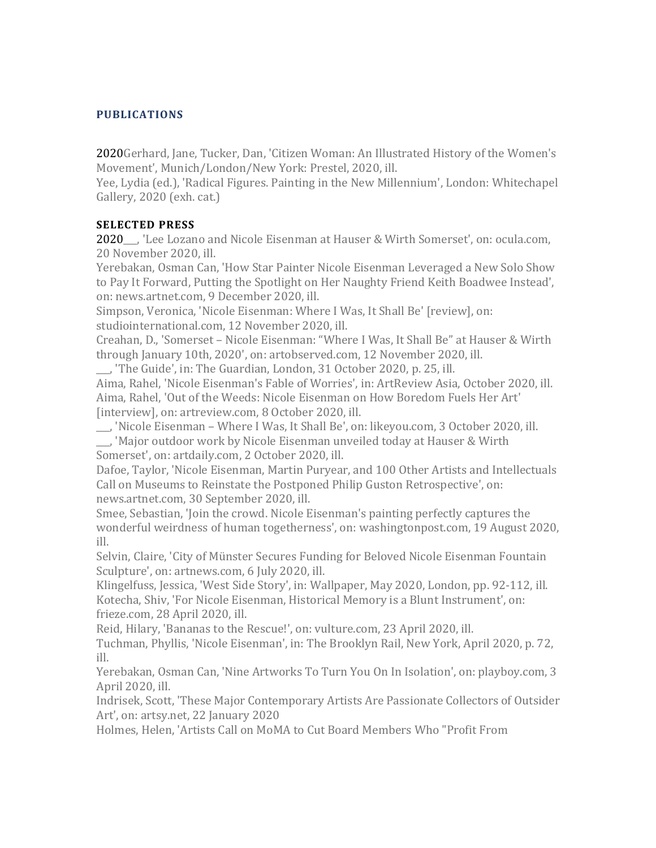# **PUBLICATIONS**

2020Gerhard, Jane, Tucker, Dan, 'Citizen Woman: An Illustrated History of the Women's Movement', Munich/London/New York: Prestel, 2020, ill.

Yee, Lydia (ed.), 'Radical Figures. Painting in the New Millennium', London: Whitechapel Gallery, 2020 (exh. cat.)

# **SELECTED PRESS**

2020\_\_\_, 'Lee Lozano and Nicole Eisenman at Hauser & Wirth Somerset', on: ocula.com, 20 November 2020, ill.

Yerebakan, Osman Can, 'How Star Painter Nicole Eisenman Leveraged a New Solo Show to Pay It Forward, Putting the Spotlight on Her Naughty Friend Keith Boadwee Instead', on: news.artnet.com, 9 December 2020, ill.

Simpson, Veronica, 'Nicole Eisenman: Where I Was, It Shall Be' [review], on: studiointernational.com, 12 November 2020, ill.

Creahan, D., 'Somerset – Nicole Eisenman: "Where I Was, It Shall Be" at Hauser & Wirth through January 10th, 2020', on: artobserved.com, 12 November 2020, ill.

\_\_\_, 'The Guide', in: The Guardian, London, 31 October 2020, p. 25, ill. Aima, Rahel, 'Nicole Eisenman's Fable of Worries', in: ArtReview Asia, October 2020, ill. Aima, Rahel, 'Out of the Weeds: Nicole Eisenman on How Boredom Fuels Her Art' [interview], on: artreview.com, 8 October 2020, ill.

\_\_\_, 'Nicole Eisenman – Where I Was, It Shall Be', on: likeyou.com, 3 October 2020, ill. \_\_\_, 'Major outdoor work by Nicole Eisenman unveiled today at Hauser & Wirth Somerset', on: artdaily.com, 2 October 2020, ill.

Dafoe, Taylor, 'Nicole Eisenman, Martin Puryear, and 100 Other Artists and Intellectuals Call on Museums to Reinstate the Postponed Philip Guston Retrospective', on: news.artnet.com, 30 September 2020, ill.

Smee, Sebastian, 'Join the crowd. Nicole Eisenman's painting perfectly captures the wonderful weirdness of human togetherness', on: washingtonpost.com, 19 August 2020, ill.

Selvin, Claire, 'City of Münster Secures Funding for Beloved Nicole Eisenman Fountain Sculpture', on: artnews.com, 6 July 2020, ill.

Klingelfuss, Jessica, 'West Side Story', in: Wallpaper, May 2020, London, pp. 92-112, ill. Kotecha, Shiv, 'For Nicole Eisenman, Historical Memory is a Blunt Instrument', on: frieze.com, 28 April 2020, ill.

Reid, Hilary, 'Bananas to the Rescue!', on: vulture.com, 23 April 2020, ill.

Tuchman, Phyllis, 'Nicole Eisenman', in: The Brooklyn Rail, New York, April 2020, p. 72, ill.

Yerebakan, Osman Can, 'Nine Artworks To Turn You On In Isolation', on: playboy.com, 3 April 2020, ill.

Indrisek, Scott, 'These Major Contemporary Artists Are Passionate Collectors of Outsider Art', on: artsy.net, 22 January 2020

Holmes, Helen, 'Artists Call on MoMA to Cut Board Members Who "Profit From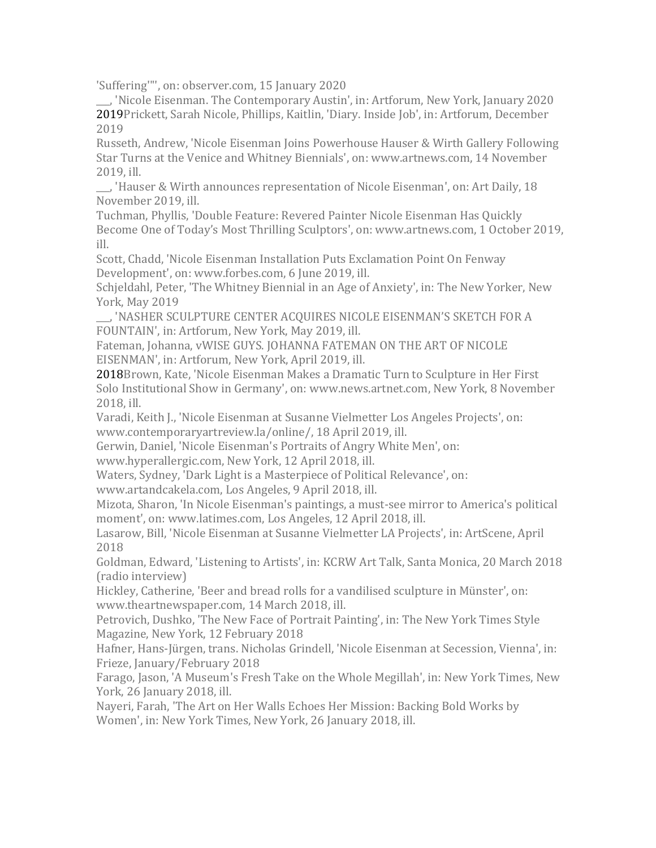'Suffering'"', on: observer.com, 15 January 2020

\_\_\_, 'Nicole Eisenman. The Contemporary Austin', in: Artforum, New York, January 2020 2019Prickett, Sarah Nicole, Phillips, Kaitlin, 'Diary. Inside Job', in: Artforum, December 2019

Russeth, Andrew, 'Nicole Eisenman Joins Powerhouse Hauser & Wirth Gallery Following Star Turns at the Venice and Whitney Biennials', on: www.artnews.com, 14 November 2019, ill.

\_\_\_, 'Hauser & Wirth announces representation of Nicole Eisenman', on: Art Daily, 18 November 2019, ill.

Tuchman, Phyllis, 'Double Feature: Revered Painter Nicole Eisenman Has Quickly Become One of Today's Most Thrilling Sculptors', on: www.artnews.com, 1 October 2019, ill.

Scott, Chadd, 'Nicole Eisenman Installation Puts Exclamation Point On Fenway Development', on: www.forbes.com, 6 June 2019, ill.

Schjeldahl, Peter, 'The Whitney Biennial in an Age of Anxiety', in: The New Yorker, New York, May 2019

\_\_\_, 'NASHER SCULPTURE CENTER ACQUIRES NICOLE EISENMAN'S SKETCH FOR A FOUNTAIN', in: Artforum, New York, May 2019, ill.

Fateman, Johanna, vWISE GUYS. JOHANNA FATEMAN ON THE ART OF NICOLE EISENMAN', in: Artforum, New York, April 2019, ill.

2018Brown, Kate, 'Nicole Eisenman Makes a Dramatic Turn to Sculpture in Her First Solo Institutional Show in Germany', on: www.news.artnet.com, New York, 8 November 2018, ill.

Varadi, Keith J., 'Nicole Eisenman at Susanne Vielmetter Los Angeles Projects', on: www.contemporaryartreview.la/online/, 18 April 2019, ill.

Gerwin, Daniel, 'Nicole Eisenman's Portraits of Angry White Men', on:

www.hyperallergic.com, New York, 12 April 2018, ill.

Waters, Sydney, 'Dark Light is a Masterpiece of Political Relevance', on:

www.artandcakela.com, Los Angeles, 9 April 2018, ill.

Mizota, Sharon, 'In Nicole Eisenman's paintings, a must-see mirror to America's political moment', on: www.latimes.com, Los Angeles, 12 April 2018, ill.

Lasarow, Bill, 'Nicole Eisenman at Susanne Vielmetter LA Projects', in: ArtScene, April 2018

Goldman, Edward, 'Listening to Artists', in: KCRW Art Talk, Santa Monica, 20 March 2018 (radio interview)

Hickley, Catherine, 'Beer and bread rolls for a vandilised sculpture in Münster', on: www.theartnewspaper.com, 14 March 2018, ill.

Petrovich, Dushko, 'The New Face of Portrait Painting', in: The New York Times Style Magazine, New York, 12 February 2018

Hafner, Hans-Jürgen, trans. Nicholas Grindell, 'Nicole Eisenman at Secession, Vienna', in: Frieze, January/February 2018

Farago, Jason, 'A Museum's Fresh Take on the Whole Megillah', in: New York Times, New York, 26 January 2018, ill.

Nayeri, Farah, 'The Art on Her Walls Echoes Her Mission: Backing Bold Works by Women', in: New York Times, New York, 26 January 2018, ill.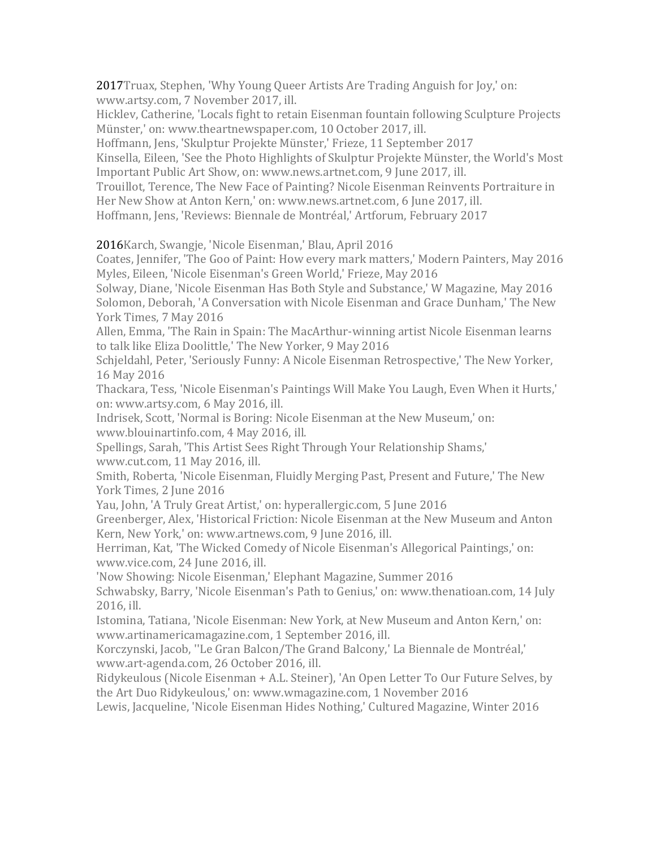2017Truax, Stephen, 'Why Young Queer Artists Are Trading Anguish for Joy,' on: www.artsy.com, 7 November 2017, ill.

Hicklev, Catherine, 'Locals fight to retain Eisenman fountain following Sculpture Projects Münster,' on: www.theartnewspaper.com, 10 October 2017, ill.

Hoffmann, Jens, 'Skulptur Projekte Münster,' Frieze, 11 September 2017

Kinsella, Eileen, 'See the Photo Highlights of Skulptur Projekte Münster, the World's Most Important Public Art Show, on: www.news.artnet.com, 9 June 2017, ill.

Trouillot, Terence, The New Face of Painting? Nicole Eisenman Reinvents Portraiture in Her New Show at Anton Kern,' on: www.news.artnet.com, 6 June 2017, ill.

Hoffmann, Jens, 'Reviews: Biennale de Montréal,' Artforum, February 2017

2016Karch, Swangje, 'Nicole Eisenman,' Blau, April 2016

Coates, Jennifer, 'The Goo of Paint: How every mark matters,' Modern Painters, May 2016 Myles, Eileen, 'Nicole Eisenman's Green World,' Frieze, May 2016

Solway, Diane, 'Nicole Eisenman Has Both Style and Substance,' W Magazine, May 2016 Solomon, Deborah, 'A Conversation with Nicole Eisenman and Grace Dunham,' The New York Times, 7 May 2016

Allen, Emma, 'The Rain in Spain: The MacArthur-winning artist Nicole Eisenman learns to talk like Eliza Doolittle,' The New Yorker, 9 May 2016

Schjeldahl, Peter, 'Seriously Funny: A Nicole Eisenman Retrospective,' The New Yorker, 16 May 2016

Thackara, Tess, 'Nicole Eisenman's Paintings Will Make You Laugh, Even When it Hurts,' on: www.artsy.com, 6 May 2016, ill.

Indrisek, Scott, 'Normal is Boring: Nicole Eisenman at the New Museum,' on: www.blouinartinfo.com, 4 May 2016, ill.

Spellings, Sarah, 'This Artist Sees Right Through Your Relationship Shams,' www.cut.com, 11 May 2016, ill.

Smith, Roberta, 'Nicole Eisenman, Fluidly Merging Past, Present and Future,' The New York Times, 2 June 2016

Yau, John, 'A Truly Great Artist,' on: hyperallergic.com, 5 June 2016

Greenberger, Alex, 'Historical Friction: Nicole Eisenman at the New Museum and Anton Kern, New York,' on: www.artnews.com, 9 June 2016, ill.

Herriman, Kat, 'The Wicked Comedy of Nicole Eisenman's Allegorical Paintings,' on: www.vice.com, 24 June 2016, ill.

'Now Showing: Nicole Eisenman,' Elephant Magazine, Summer 2016

Schwabsky, Barry, 'Nicole Eisenman's Path to Genius,' on: www.thenatioan.com, 14 July 2016, ill.

Istomina, Tatiana, 'Nicole Eisenman: New York, at New Museum and Anton Kern,' on: www.artinamericamagazine.com, 1 September 2016, ill.

Korczynski, Jacob, ''Le Gran Balcon/The Grand Balcony,' La Biennale de Montréal,' www.art-agenda.com, 26 October 2016, ill.

Ridykeulous (Nicole Eisenman + A.L. Steiner), 'An Open Letter To Our Future Selves, by the Art Duo Ridykeulous,' on: www.wmagazine.com, 1 November 2016

Lewis, Jacqueline, 'Nicole Eisenman Hides Nothing,' Cultured Magazine, Winter 2016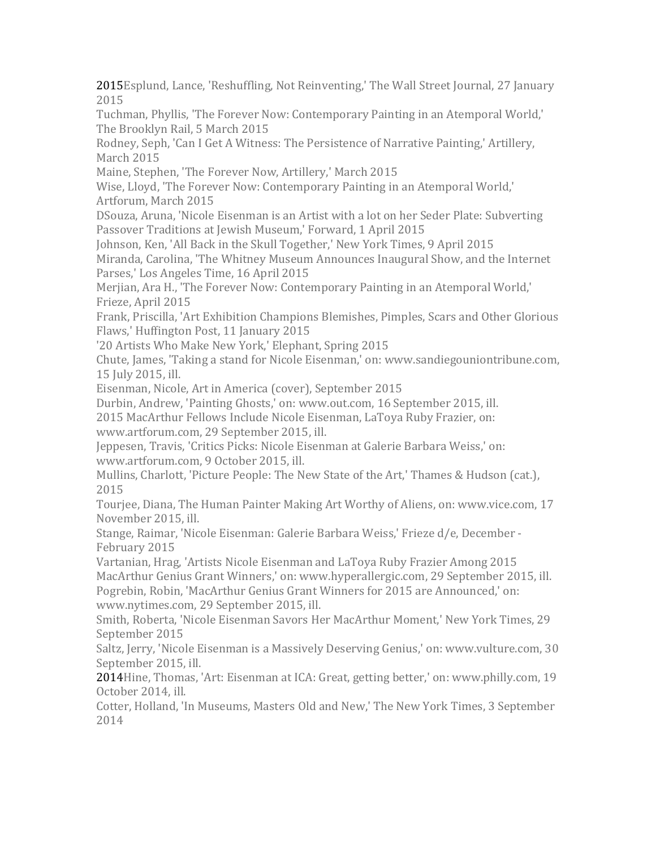2015Esplund, Lance, 'Reshuffling, Not Reinventing,' The Wall Street Journal, 27 January 2015

Tuchman, Phyllis, 'The Forever Now: Contemporary Painting in an Atemporal World,' The Brooklyn Rail, 5 March 2015

Rodney, Seph, 'Can I Get A Witness: The Persistence of Narrative Painting,' Artillery, March 2015

Maine, Stephen, 'The Forever Now, Artillery,' March 2015

Wise, Lloyd, 'The Forever Now: Contemporary Painting in an Atemporal World,' Artforum, March 2015

DSouza, Aruna, 'Nicole Eisenman is an Artist with a lot on her Seder Plate: Subverting Passover Traditions at Jewish Museum,' Forward, 1 April 2015

Johnson, Ken, 'All Back in the Skull Together,' New York Times, 9 April 2015

Miranda, Carolina, 'The Whitney Museum Announces Inaugural Show, and the Internet Parses,' Los Angeles Time, 16 April 2015

Merjian, Ara H., 'The Forever Now: Contemporary Painting in an Atemporal World,' Frieze, April 2015

Frank, Priscilla, 'Art Exhibition Champions Blemishes, Pimples, Scars and Other Glorious Flaws,' Huffington Post, 11 January 2015

'20 Artists Who Make New York,' Elephant, Spring 2015

Chute, James, 'Taking a stand for Nicole Eisenman,' on: www.sandiegouniontribune.com, 15 July 2015, ill.

Eisenman, Nicole, Art in America (cover), September 2015

Durbin, Andrew, 'Painting Ghosts,' on: www.out.com, 16 September 2015, ill.

2015 MacArthur Fellows Include Nicole Eisenman, LaToya Ruby Frazier, on:

www.artforum.com, 29 September 2015, ill.

Jeppesen, Travis, 'Critics Picks: Nicole Eisenman at Galerie Barbara Weiss,' on: www.artforum.com, 9 October 2015, ill.

Mullins, Charlott, 'Picture People: The New State of the Art,' Thames & Hudson (cat.), 2015

Tourjee, Diana, The Human Painter Making Art Worthy of Aliens, on: www.vice.com, 17 November 2015, ill.

Stange, Raimar, 'Nicole Eisenman: Galerie Barbara Weiss,' Frieze d/e, December - February 2015

Vartanian, Hrag, 'Artists Nicole Eisenman and LaToya Ruby Frazier Among 2015 MacArthur Genius Grant Winners,' on: www.hyperallergic.com, 29 September 2015, ill. Pogrebin, Robin, 'MacArthur Genius Grant Winners for 2015 are Announced,' on: www.nytimes.com, 29 September 2015, ill.

Smith, Roberta, 'Nicole Eisenman Savors Her MacArthur Moment,' New York Times, 29 September 2015

Saltz, Jerry, 'Nicole Eisenman is a Massively Deserving Genius,' on: www.vulture.com, 30 September 2015, ill.

2014Hine, Thomas, 'Art: Eisenman at ICA: Great, getting better,' on: www.philly.com, 19 October 2014, ill.

Cotter, Holland, 'In Museums, Masters Old and New,' The New York Times, 3 September 2014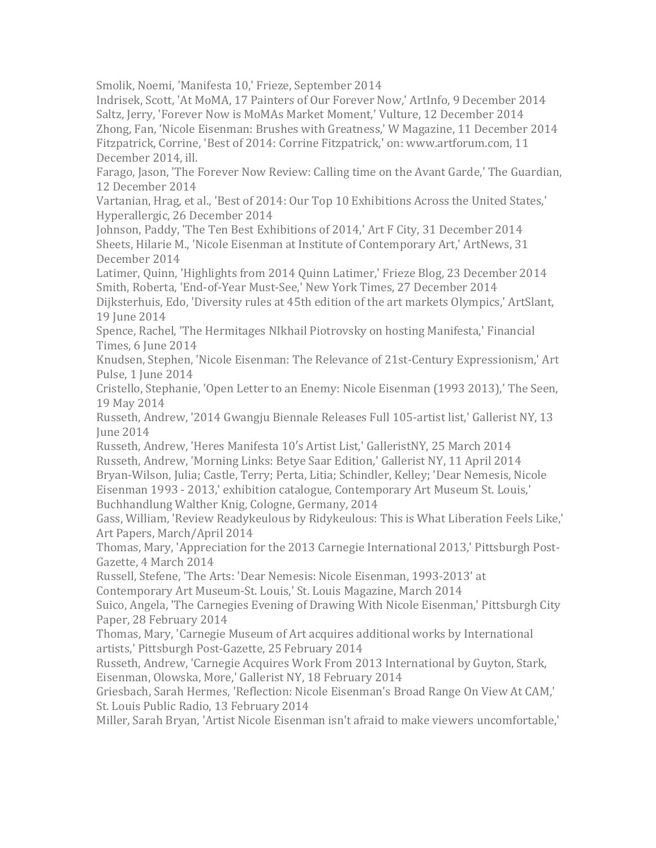Smolik, Noemi, 'Manifesta 10,' Frieze, September 2014

Indrisek, Scott, 'At MoMA, 17 Painters of Our Forever Now,' ArtInfo, 9 December 2014 Saltz, Jerry, 'Forever Now is MoMAs Market Moment,' Vulture, 12 December 2014 Zhong, Fan, 'Nicole Eisenman: Brushes with Greatness,' W Magazine, 11 December 2014 Fitzpatrick, Corrine, 'Best of 2014: Corrine Fitzpatrick,' on: www.artforum.com, 11 December 2014, ill.

Farago, Jason, 'The Forever Now Review: Calling time on the Avant Garde,' The Guardian, 12 December 2014

Vartanian, Hrag, et al., 'Best of 2014: Our Top 10 Exhibitions Across the United States,' Hyperallergic, 26 December 2014

Johnson, Paddy, 'The Ten Best Exhibitions of 2014,' Art F City, 31 December 2014 Sheets, Hilarie M., 'Nicole Eisenman at Institute of Contemporary Art,' ArtNews, 31 December 2014

Latimer, Quinn, 'Highlights from 2014 Quinn Latimer,' Frieze Blog, 23 December 2014 Smith, Roberta, 'End-of-Year Must-See,' New York Times, 27 December 2014

Dijksterhuis, Edo, 'Diversity rules at 45th edition of the art markets Olympics,' ArtSlant, 19 June 2014

Spence, Rachel, 'The Hermitages NIkhail Piotrovsky on hosting Manifesta,' Financial Times, 6 June 2014

Knudsen, Stephen, 'Nicole Eisenman: The Relevance of 21st-Century Expressionism,' Art Pulse, 1 June 2014

Cristello, Stephanie, 'Open Letter to an Enemy: Nicole Eisenman (1993 2013),' The Seen, 19 May 2014

Russeth, Andrew, '2014 Gwangju Biennale Releases Full 105-artist list,' Gallerist NY, 13 June 2014

Russeth, Andrew, 'Heres Manifesta 10′s Artist List,' GalleristNY, 25 March 2014 Russeth, Andrew, 'Morning Links: Betye Saar Edition,' Gallerist NY, 11 April 2014 Bryan-Wilson, Julia; Castle, Terry; Perta, Litia; Schindler, Kelley; 'Dear Nemesis, Nicole Eisenman 1993 - 2013,' exhibition catalogue, Contemporary Art Museum St. Louis,' Buchhandlung Walther Knig, Cologne, Germany, 2014

Gass, William, 'Review Readykeulous by Ridykeulous: This is What Liberation Feels Like,' Art Papers, March/April 2014

Thomas, Mary, 'Appreciation for the 2013 Carnegie International 2013,' Pittsburgh Post-Gazette, 4 March 2014

Russell, Stefene, 'The Arts: 'Dear Nemesis: Nicole Eisenman, 1993-2013' at

Contemporary Art Museum-St. Louis,' St. Louis Magazine, March 2014

Suico, Angela, 'The Carnegies Evening of Drawing With Nicole Eisenman,' Pittsburgh City Paper, 28 February 2014

Thomas, Mary, 'Carnegie Museum of Art acquires additional works by International artists,' Pittsburgh Post-Gazette, 25 February 2014

Russeth, Andrew, 'Carnegie Acquires Work From 2013 International by Guyton, Stark, Eisenman, Olowska, More,' Gallerist NY, 18 February 2014

Griesbach, Sarah Hermes, 'Reflection: Nicole Eisenman's Broad Range On View At CAM,' St. Louis Public Radio, 13 February 2014

Miller, Sarah Bryan, 'Artist Nicole Eisenman isn't afraid to make viewers uncomfortable,'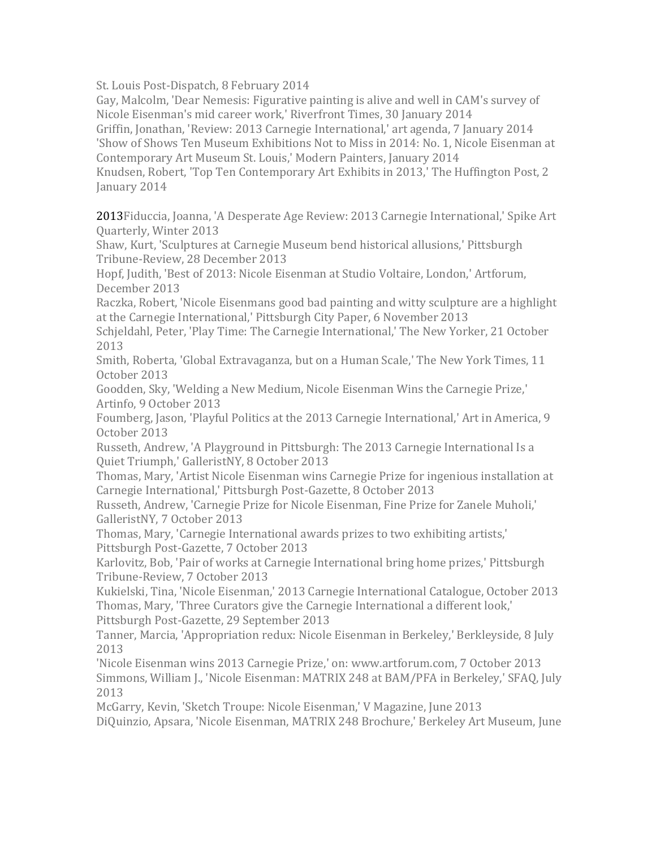St. Louis Post-Dispatch, 8 February 2014

Gay, Malcolm, 'Dear Nemesis: Figurative painting is alive and well in CAM's survey of Nicole Eisenman's mid career work,' Riverfront Times, 30 January 2014 Griffin, Jonathan, 'Review: 2013 Carnegie International,' art agenda, 7 January 2014 'Show of Shows Ten Museum Exhibitions Not to Miss in 2014: No. 1, Nicole Eisenman at

Contemporary Art Museum St. Louis,' Modern Painters, January 2014

Knudsen, Robert, 'Top Ten Contemporary Art Exhibits in 2013,' The Huffington Post, 2 January 2014

2013Fiduccia, Joanna, 'A Desperate Age Review: 2013 Carnegie International,' Spike Art Quarterly, Winter 2013

Shaw, Kurt, 'Sculptures at Carnegie Museum bend historical allusions,' Pittsburgh Tribune-Review, 28 December 2013

Hopf, Judith, 'Best of 2013: Nicole Eisenman at Studio Voltaire, London,' Artforum, December 2013

Raczka, Robert, 'Nicole Eisenmans good bad painting and witty sculpture are a highlight at the Carnegie International,' Pittsburgh City Paper, 6 November 2013

Schjeldahl, Peter, 'Play Time: The Carnegie International,' The New Yorker, 21 October 2013

Smith, Roberta, 'Global Extravaganza, but on a Human Scale,' The New York Times, 11 October 2013

Goodden, Sky, 'Welding a New Medium, Nicole Eisenman Wins the Carnegie Prize,' Artinfo, 9 October 2013

Foumberg, Jason, 'Playful Politics at the 2013 Carnegie International,' Art in America, 9 October 2013

Russeth, Andrew, 'A Playground in Pittsburgh: The 2013 Carnegie International Is a Quiet Triumph,' GalleristNY, 8 October 2013

Thomas, Mary, 'Artist Nicole Eisenman wins Carnegie Prize for ingenious installation at Carnegie International,' Pittsburgh Post-Gazette, 8 October 2013

Russeth, Andrew, 'Carnegie Prize for Nicole Eisenman, Fine Prize for Zanele Muholi,' GalleristNY, 7 October 2013

Thomas, Mary, 'Carnegie International awards prizes to two exhibiting artists,' Pittsburgh Post-Gazette, 7 October 2013

Karlovitz, Bob, 'Pair of works at Carnegie International bring home prizes,' Pittsburgh Tribune-Review, 7 October 2013

Kukielski, Tina, 'Nicole Eisenman,' 2013 Carnegie International Catalogue, October 2013 Thomas, Mary, 'Three Curators give the Carnegie International a different look,' Pittsburgh Post-Gazette, 29 September 2013

Tanner, Marcia, 'Appropriation redux: Nicole Eisenman in Berkeley,' Berkleyside, 8 July 2013

'Nicole Eisenman wins 2013 Carnegie Prize,' on: www.artforum.com, 7 October 2013 Simmons, William J., 'Nicole Eisenman: MATRIX 248 at BAM/PFA in Berkeley,' SFAQ, July 2013

McGarry, Kevin, 'Sketch Troupe: Nicole Eisenman,' V Magazine, June 2013 DiQuinzio, Apsara, 'Nicole Eisenman, MATRIX 248 Brochure,' Berkeley Art Museum, June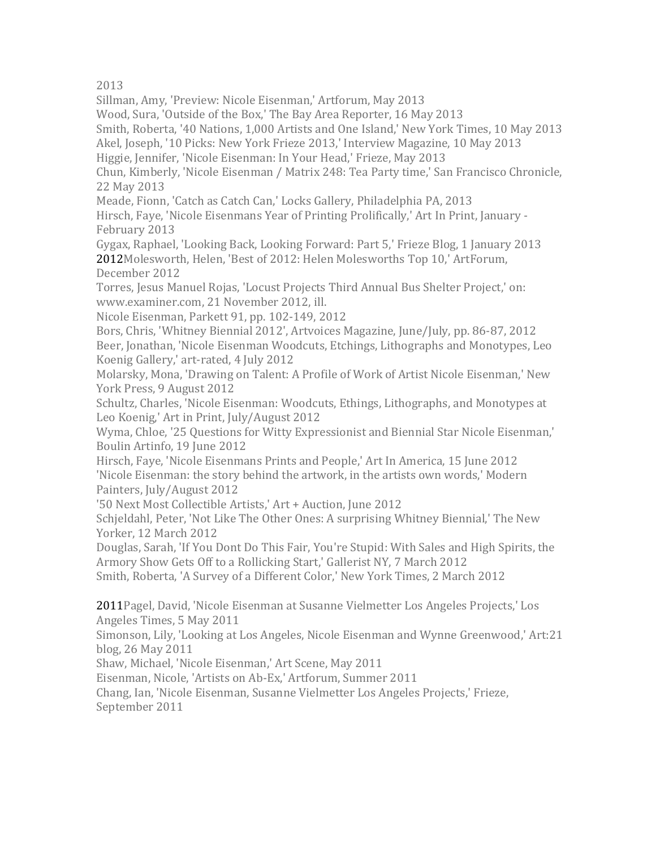# 2013

Sillman, Amy, 'Preview: Nicole Eisenman,' Artforum, May 2013

Wood, Sura, 'Outside of the Box,' The Bay Area Reporter, 16 May 2013

Smith, Roberta, '40 Nations, 1,000 Artists and One Island,' New York Times, 10 May 2013

Akel, Joseph, '10 Picks: New York Frieze 2013,' Interview Magazine, 10 May 2013

Higgie, Jennifer, 'Nicole Eisenman: In Your Head,' Frieze, May 2013

Chun, Kimberly, 'Nicole Eisenman / Matrix 248: Tea Party time,' San Francisco Chronicle, 22 May 2013

Meade, Fionn, 'Catch as Catch Can,' Locks Gallery, Philadelphia PA, 2013

Hirsch, Faye, 'Nicole Eisenmans Year of Printing Prolifically,' Art In Print, January - February 2013

Gygax, Raphael, 'Looking Back, Looking Forward: Part 5,' Frieze Blog, 1 January 2013 2012Molesworth, Helen, 'Best of 2012: Helen Molesworths Top 10,' ArtForum, December 2012

Torres, Jesus Manuel Rojas, 'Locust Projects Third Annual Bus Shelter Project,' on: www.examiner.com, 21 November 2012, ill.

Nicole Eisenman, Parkett 91, pp. 102-149, 2012

Bors, Chris, 'Whitney Biennial 2012', Artvoices Magazine, June/July, pp. 86-87, 2012 Beer, Jonathan, 'Nicole Eisenman Woodcuts, Etchings, Lithographs and Monotypes, Leo Koenig Gallery,' art-rated, 4 July 2012

Molarsky, Mona, 'Drawing on Talent: A Profile of Work of Artist Nicole Eisenman,' New York Press, 9 August 2012

Schultz, Charles, 'Nicole Eisenman: Woodcuts, Ethings, Lithographs, and Monotypes at Leo Koenig,' Art in Print, July/August 2012

Wyma, Chloe, '25 Questions for Witty Expressionist and Biennial Star Nicole Eisenman,' Boulin Artinfo, 19 June 2012

Hirsch, Faye, 'Nicole Eisenmans Prints and People,' Art In America, 15 June 2012 'Nicole Eisenman: the story behind the artwork, in the artists own words,' Modern Painters, July/August 2012

'50 Next Most Collectible Artists,' Art + Auction, June 2012

Schjeldahl, Peter, 'Not Like The Other Ones: A surprising Whitney Biennial,' The New Yorker, 12 March 2012

Douglas, Sarah, 'If You Dont Do This Fair, You're Stupid: With Sales and High Spirits, the Armory Show Gets Off to a Rollicking Start,' Gallerist NY, 7 March 2012

Smith, Roberta, 'A Survey of a Different Color,' New York Times, 2 March 2012

2011Pagel, David, 'Nicole Eisenman at Susanne Vielmetter Los Angeles Projects,' Los Angeles Times, 5 May 2011

Simonson, Lily, 'Looking at Los Angeles, Nicole Eisenman and Wynne Greenwood,' Art:21 blog, 26 May 2011

Shaw, Michael, 'Nicole Eisenman,' Art Scene, May 2011

Eisenman, Nicole, 'Artists on Ab-Ex,' Artforum, Summer 2011

Chang, Ian, 'Nicole Eisenman, Susanne Vielmetter Los Angeles Projects,' Frieze, September 2011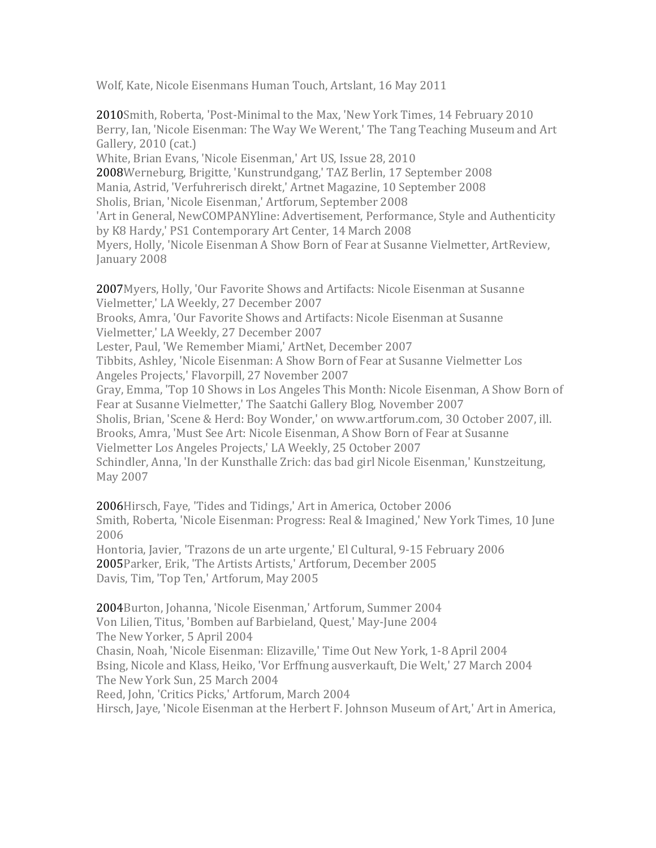Wolf, Kate, Nicole Eisenmans Human Touch, Artslant, 16 May 2011

2010Smith, Roberta, 'Post-Minimal to the Max, 'New York Times, 14 February 2010 Berry, Ian, 'Nicole Eisenman: The Way We Werent,' The Tang Teaching Museum and Art Gallery, 2010 (cat.)

White, Brian Evans, 'Nicole Eisenman,' Art US, Issue 28, 2010 2008Werneburg, Brigitte, 'Kunstrundgang,' TAZ Berlin, 17 September 2008 Mania, Astrid, 'Verfuhrerisch direkt,' Artnet Magazine, 10 September 2008 Sholis, Brian, 'Nicole Eisenman,' Artforum, September 2008 'Art in General, NewCOMPANYline: Advertisement, Performance, Style and Authenticity by K8 Hardy,' PS1 Contemporary Art Center, 14 March 2008 Myers, Holly, 'Nicole Eisenman A Show Born of Fear at Susanne Vielmetter, ArtReview, January 2008

2007Myers, Holly, 'Our Favorite Shows and Artifacts: Nicole Eisenman at Susanne Vielmetter,' LA Weekly, 27 December 2007

Brooks, Amra, 'Our Favorite Shows and Artifacts: Nicole Eisenman at Susanne Vielmetter,' LA Weekly, 27 December 2007

Lester, Paul, 'We Remember Miami,' ArtNet, December 2007

Tibbits, Ashley, 'Nicole Eisenman: A Show Born of Fear at Susanne Vielmetter Los Angeles Projects,' Flavorpill, 27 November 2007

Gray, Emma, 'Top 10 Shows in Los Angeles This Month: Nicole Eisenman, A Show Born of Fear at Susanne Vielmetter,' The Saatchi Gallery Blog, November 2007

Sholis, Brian, 'Scene & Herd: Boy Wonder,' on www.artforum.com, 30 October 2007, ill.

Brooks, Amra, 'Must See Art: Nicole Eisenman, A Show Born of Fear at Susanne

Vielmetter Los Angeles Projects,' LA Weekly, 25 October 2007

Schindler, Anna, 'In der Kunsthalle Zrich: das bad girl Nicole Eisenman,' Kunstzeitung, May 2007

2006Hirsch, Faye, 'Tides and Tidings,' Art in America, October 2006 Smith, Roberta, 'Nicole Eisenman: Progress: Real & Imagined,' New York Times, 10 June 2006

Hontoria, Javier, 'Trazons de un arte urgente,' El Cultural, 9-15 February 2006 2005Parker, Erik, 'The Artists Artists,' Artforum, December 2005 Davis, Tim, 'Top Ten,' Artforum, May 2005

2004Burton, Johanna, 'Nicole Eisenman,' Artforum, Summer 2004 Von Lilien, Titus, 'Bomben auf Barbieland, Quest,' May-June 2004 The New Yorker, 5 April 2004 Chasin, Noah, 'Nicole Eisenman: Elizaville,' Time Out New York, 1-8 April 2004 Bsing, Nicole and Klass, Heiko, 'Vor Erffnung ausverkauft, Die Welt,' 27 March 2004 The New York Sun, 25 March 2004 Reed, John, 'Critics Picks,' Artforum, March 2004 Hirsch, Jaye, 'Nicole Eisenman at the Herbert F. Johnson Museum of Art,' Art in America,